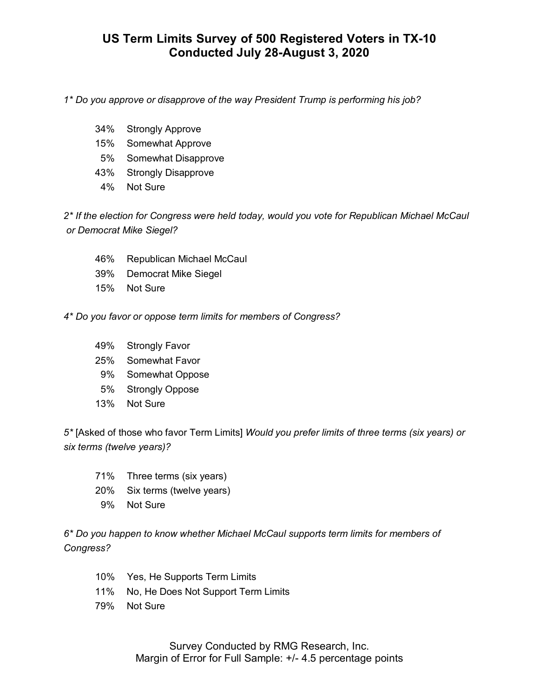## **US Term Limits Survey of 500 Registered Voters in TX-10 Conducted July 28-August 3, 2020**

*1\* Do you approve or disapprove of the way President Trump is performing his job?*

- 34% Strongly Approve
- 15% Somewhat Approve
- 5% Somewhat Disapprove
- 43% Strongly Disapprove
- 4% Not Sure

*2\* If the election for Congress were held today, would you vote for Republican Michael McCaul or Democrat Mike Siegel?*

- 46% Republican Michael McCaul
- 39% Democrat Mike Siegel
- 15% Not Sure

*4\* Do you favor or oppose term limits for members of Congress?*

- 49% Strongly Favor
- 25% Somewhat Favor
- 9% Somewhat Oppose
- 5% Strongly Oppose
- 13% Not Sure

*5\** [Asked of those who favor Term Limits] *Would you prefer limits of three terms (six years) or six terms (twelve years)?*

- 71% Three terms (six years)
- 20% Six terms (twelve years)
- 9% Not Sure

*6\* Do you happen to know whether Michael McCaul supports term limits for members of Congress?*

- 10% Yes, He Supports Term Limits
- 11% No, He Does Not Support Term Limits
- 79% Not Sure